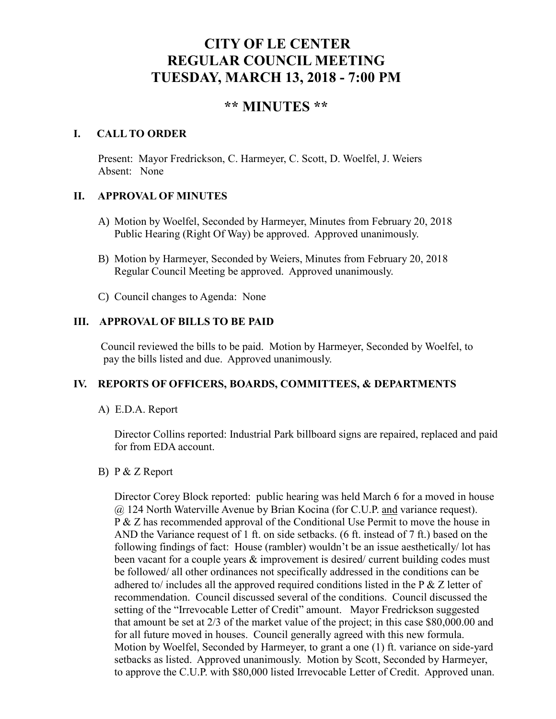# **CITY OF LE CENTER REGULAR COUNCIL MEETING TUESDAY, MARCH 13, 2018 - 7:00 PM**

# **\*\* MINUTES \*\***

#### **I. CALL TO ORDER**

Present: Mayor Fredrickson, C. Harmeyer, C. Scott, D. Woelfel, J. Weiers Absent: None

#### **II. APPROVAL OF MINUTES**

- A) Motion by Woelfel, Seconded by Harmeyer, Minutes from February 20, 2018 Public Hearing (Right Of Way) be approved. Approved unanimously.
- B) Motion by Harmeyer, Seconded by Weiers, Minutes from February 20, 2018 Regular Council Meeting be approved. Approved unanimously.
- C) Council changes to Agenda: None

# **III. APPROVAL OF BILLS TO BE PAID**

Council reviewed the bills to be paid. Motion by Harmeyer, Seconded by Woelfel, to pay the bills listed and due. Approved unanimously.

# **IV. REPORTS OF OFFICERS, BOARDS, COMMITTEES, & DEPARTMENTS**

# A) E.D.A. Report

 Director Collins reported: Industrial Park billboard signs are repaired, replaced and paid for from EDA account.

#### B) P & Z Report

Director Corey Block reported: public hearing was held March 6 for a moved in house @ 124 North Waterville Avenue by Brian Kocina (for C.U.P. and variance request). P & Z has recommended approval of the Conditional Use Permit to move the house in AND the Variance request of 1 ft. on side setbacks. (6 ft. instead of 7 ft.) based on the following findings of fact: House (rambler) wouldn't be an issue aesthetically/ lot has been vacant for a couple years & improvement is desired/ current building codes must be followed/ all other ordinances not specifically addressed in the conditions can be adhered to/ includes all the approved required conditions listed in the  $P \& Z$  letter of recommendation. Council discussed several of the conditions. Council discussed the setting of the "Irrevocable Letter of Credit" amount. Mayor Fredrickson suggested that amount be set at 2/3 of the market value of the project; in this case \$80,000.00 and for all future moved in houses. Council generally agreed with this new formula. Motion by Woelfel, Seconded by Harmeyer, to grant a one (1) ft. variance on side-yard setbacks as listed. Approved unanimously. Motion by Scott, Seconded by Harmeyer, to approve the C.U.P. with \$80,000 listed Irrevocable Letter of Credit. Approved unan.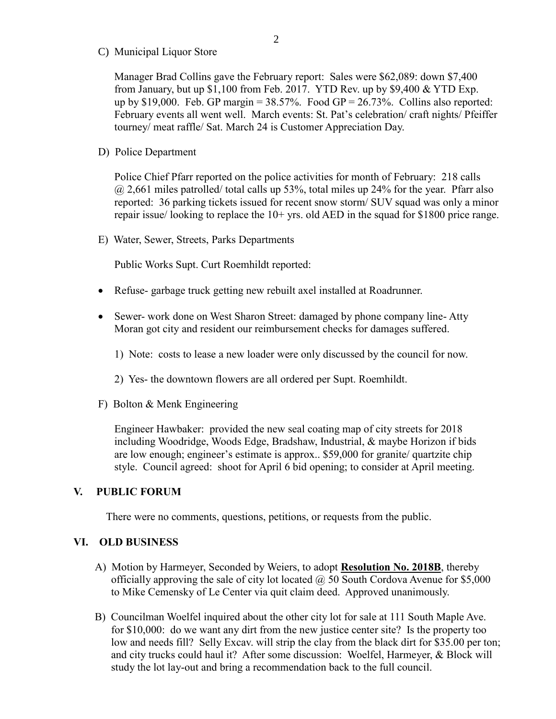C) Municipal Liquor Store

Manager Brad Collins gave the February report: Sales were \$62,089: down \$7,400 from January, but up \$1,100 from Feb. 2017. YTD Rev. up by \$9,400 & YTD Exp. up by \$19,000. Feb. GP margin =  $38.57\%$ . Food GP =  $26.73\%$ . Collins also reported: February events all went well. March events: St. Pat's celebration/ craft nights/ Pfeiffer tourney/ meat raffle/ Sat. March 24 is Customer Appreciation Day.

D) Police Department

Police Chief Pfarr reported on the police activities for month of February: 218 calls  $@$  2,661 miles patrolled/ total calls up 53%, total miles up 24% for the year. Pfarr also reported: 36 parking tickets issued for recent snow storm/ SUV squad was only a minor repair issue/ looking to replace the  $10+$  yrs. old AED in the squad for \$1800 price range.

E) Water, Sewer, Streets, Parks Departments

Public Works Supt. Curt Roemhildt reported:

- Refuse- garbage truck getting new rebuilt axel installed at Roadrunner.
- Sewer- work done on West Sharon Street: damaged by phone company line-Atty Moran got city and resident our reimbursement checks for damages suffered.
	- 1) Note: costs to lease a new loader were only discussed by the council for now.
	- 2) Yes- the downtown flowers are all ordered per Supt. Roemhildt.
- F) Bolton & Menk Engineering

 Engineer Hawbaker: provided the new seal coating map of city streets for 2018 including Woodridge, Woods Edge, Bradshaw, Industrial, & maybe Horizon if bids are low enough; engineer's estimate is approx.. \$59,000 for granite/ quartzite chip style. Council agreed: shoot for April 6 bid opening; to consider at April meeting.

#### **V. PUBLIC FORUM**

There were no comments, questions, petitions, or requests from the public.

#### **VI. OLD BUSINESS**

- A) Motion by Harmeyer, Seconded by Weiers, to adopt **Resolution No. 2018B**, thereby officially approving the sale of city lot located  $\omega$  50 South Cordova Avenue for \$5,000 to Mike Cemensky of Le Center via quit claim deed. Approved unanimously.
- B) Councilman Woelfel inquired about the other city lot for sale at 111 South Maple Ave. for \$10,000: do we want any dirt from the new justice center site? Is the property too low and needs fill? Selly Excav. will strip the clay from the black dirt for \$35.00 per ton; and city trucks could haul it? After some discussion: Woelfel, Harmeyer, & Block will study the lot lay-out and bring a recommendation back to the full council.